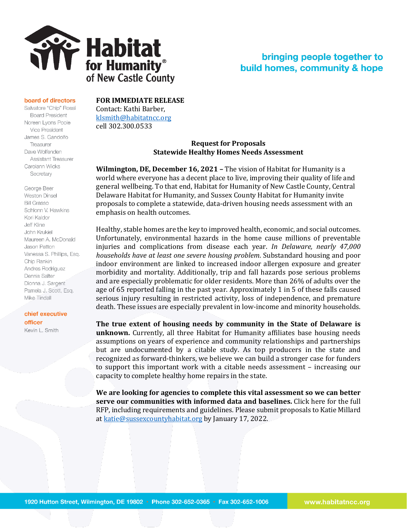

## bringing people together to build homes, community & hope

## board of directors

Salvatore "Chip" Rossi **Board President** Noreen Lyons Poole Vice President James S. Gandolfo Treasurer Dave Wolfenden **Assistant Treasurer** Carolann Wicks Secretary

George Beer Weston Dinsel **Bill Grasso** Schlonn V. Hawkins Kori Kaldor Jeff Kline John Krukiel Maureen A. McDonald Jason Patton Vanessa S. Phillips, Esq. Chip Rankin Andres Rodriguez Dennis Salter Dionna J. Sargent Pamela J. Scott, Esq. Mike-Tindall

chief executive officer Kevin L. Smith

**FOR IMMEDIATE RELEASE**

Contact: Kathi Barber, [klsmith@habitatncc.org](mailto:klsmith@habitatncc.org) cell 302.300.0533

## **Request for Proposals Statewide Healthy Homes Needs Assessment**

**Wilmington, DE, December 16, 2021 –** The vision of Habitat for Humanity is a world where everyone has a decent place to live, improving their quality of life and general wellbeing. To that end, Habitat for Humanity of New Castle County, Central Delaware Habitat for Humanity, and Sussex County Habitat for Humanity invite proposals to complete a statewide, data-driven housing needs assessment with an emphasis on health outcomes.

Healthy, stable homes are the key to improved health, economic, and social outcomes. Unfortunately, environmental hazards in the home cause millions of preventable injuries and complications from disease each year. *In Delaware, nearly 47,000 households have at least one severe housing problem*. Substandard housing and poor indoor environment are linked to increased indoor allergen exposure and greater morbidity and mortality. Additionally, trip and fall hazards pose serious problems and are especially problematic for older residents. More than 26% of adults over the age of 65 reported falling in the past year. Approximately 1 in 5 of these falls caused serious injury resulting in restricted activity, loss of independence, and premature death. These issues are especially prevalent in low-income and minority households.

**The true extent of housing needs by community in the State of Delaware is unknown.** Currently, all three Habitat for Humanity affiliates base housing needs assumptions on years of experience and community relationships and partnerships but are undocumented by a citable study. As top producers in the state and recognized as forward-thinkers, we believe we can build a stronger case for funders to support this important work with a citable needs assessment – increasing our capacity to complete healthy home repairs in the state.

**We are looking for agencies to complete this vital assessment so we can better serve our communities with informed data and baselines.** Click here for the full RFP, including requirements and guidelines. Please submit proposals to Katie Millard a[t katie@sussexcountyhabitat.org](mailto:katie@sussexcountyhabitat.org) by January 17, 2022.